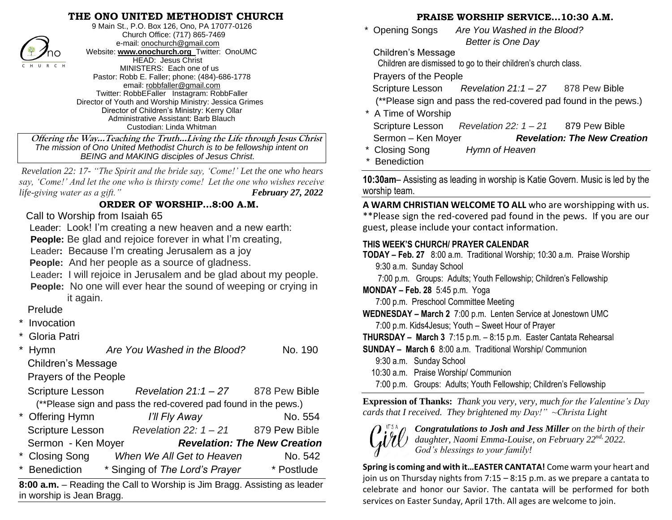#### **THE ONO UNITED METHODIST CHURCH**



9 Main St., P.O. Box 126, Ono, PA 17077-0126 Church Office: (717) 865-7469 e-mail[: onochurch@gmail.com](mailto:onochurch@gmail.com) Website: **[www.onochurch.org](http://www.onochurch.org/)** Twitter: OnoUMC HEAD: Jesus Christ MINISTERS: Each one of us Pastor: Robb E. Faller; phone: (484)-686-1778 email: [robbfaller@gmail.com](mailto:robbfaller@gmail.com) Twitter: RobbEFaller Instagram: RobbFaller Director of Youth and Worship Ministry: Jessica Grimes Director of Children's Ministry: Kerry Ollar Administrative Assistant: Barb Blauch Custodian: Linda Whitman

 **Offering the Way…Teaching the Truth…Living the Life through Jesus Christ** *The mission of Ono United Methodist Church is to be fellowship intent on BEING and MAKING disciples of Jesus Christ.* 

 *Revelation 22: 17- "The Spirit and the bride say, 'Come!' Let the one who hears say, 'Come!' And let the one who is thirsty come! Let the one who wishes receive life-giving water as a gift.*" *February 27, 2022* 

#### **ORDER OF WORSHIP…8:00 A.M.**

#### Call to Worship from Isaiah 65

Leader: Look! I'm creating a new heaven and a new earth:

**People:** Be glad and rejoice forever in what I'm creating,

Leader**:** Because I'm creating Jerusalem as a joy

**People:** And her people as a source of gladness.

Leader**:** I will rejoice in Jerusalem and be glad about my people.

**People:** No one will ever hear the sound of weeping or crying in it again.

### Prelude

- **Invocation**
- Gloria Patri

Hymn *Are You Washed in the Blood?* No. 190 Children's Message

Prayers of the People

 Scripture Lesson *Revelation 21:1 – 27* 878 Pew Bible (\*\*Please sign and pass the red-covered pad found in the pews.)

| * Offering Hymn         | I'll Fly Away                  | No. 554                             |
|-------------------------|--------------------------------|-------------------------------------|
| <b>Scripture Lesson</b> | Revelation 22: $1 - 21$        | 879 Pew Bible                       |
| Sermon - Ken Moyer      |                                | <b>Revelation: The New Creation</b> |
| * Closing Song          | When We All Get to Heaven      | No. 542                             |
| * Benediction           | * Singing of The Lord's Prayer | * Postlude                          |

**8:00 a.m.** – Reading the Call to Worship is Jim Bragg. Assisting as leader in worship is Jean Bragg.

## **PRAISE WORSHIP SERVICE…10:30 A.M.**

 \* Opening Songs *Are You Washed in the Blood? Better is One Day* 

Children's Message

Children are dismissed to go to their children's church class.

Prayers of the People

Scripture Lesson *Revelation 21:1 – 27* 878 Pew Bible

(\*\*Please sign and pass the red-covered pad found in the pews.)

\* A Time of Worship

| Scripture Lesson   | Revelation 22: $1 - 21$ | 879 Pew Bible                       |
|--------------------|-------------------------|-------------------------------------|
| Sermon - Ken Moyer |                         | <b>Revelation: The New Creation</b> |

\* Closing Song *Hymn of Heaven* 

**Benediction** 

**10:30am**– Assisting as leading in worship is Katie Govern. Music is led by the worship team.

**A WARM CHRISTIAN WELCOME TO ALL** who are worshipping with us. \*\*Please sign the red-covered pad found in the pews. If you are our guest, please include your contact information.

#### **THIS WEEK'S CHURCH/ PRAYER CALENDAR**

- **TODAY – Feb. 27** 8:00 a.m. Traditional Worship; 10:30 a.m. Praise Worship 9:30 a.m. Sunday School
	- 7:00 p.m. Groups: Adults; Youth Fellowship; Children's Fellowship
- **MONDAY – Feb. 28** 5:45 p.m. Yoga
	- 7:00 p.m. Preschool Committee Meeting
- **WEDNESDAY – March 2** 7:00 p.m. Lenten Service at Jonestown UMC 7:00 p.m. Kids4Jesus; Youth – Sweet Hour of Prayer

**THURSDAY – March 3** 7:15 p.m. – 8:15 p.m. Easter Cantata Rehearsal

- **SUNDAY – March 6** 8:00 a.m. Traditional Worship/ Communion
	- 9:30 a.m. Sunday School
	- 10:30 a.m. Praise Worship/ Communion
- 7:00 p.m. Groups: Adults; Youth Fellowship; Children's Fellowship  $\overline{a}$

**Expression of Thanks:** *Thank you very, very, much for the Valentine's Day cards that I received. They brightened my Day!" ~Christa Light*



*Congratulations to Josh and Jess Miller on the birth of their daughter, Naomi Emma-Louise, on February 22nd, 2022. God's blessings to your family!*

**Spring is coming and with it…EASTER CANTATA!** Come warm your heart and join us on Thursday nights from 7:15 – 8:15 p.m. as we prepare a cantata to celebrate and honor our Savior. The cantata will be performed for both services on Easter Sunday, April 17th. All ages are welcome to join.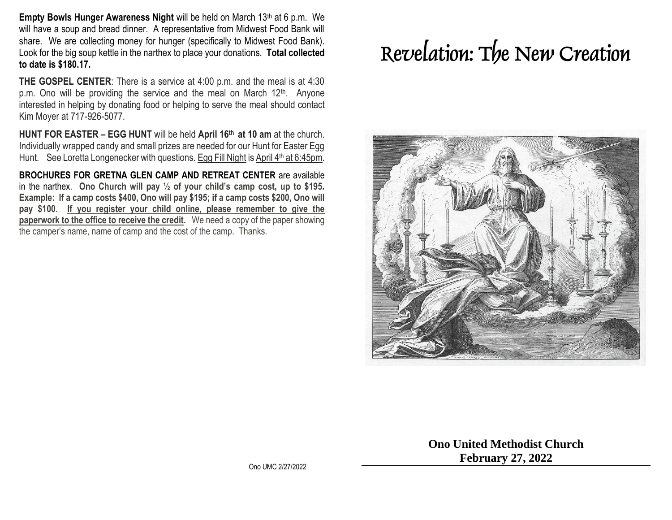**Empty Bowls Hunger Awareness Night** will be held on March 13<sup>th</sup> at 6 p.m. We will have a soup and bread dinner. A representative from Midwest Food Bank will share. We are collecting money for hunger (specifically to Midwest Food Bank). Look for the big soup kettle in the narthex to place your donations. **Total collected to date is \$180.17.**

**THE GOSPEL CENTER**: There is a service at 4:00 p.m. and the meal is at 4:30 p.m. Ono will be providing the service and the meal on March  $12<sup>th</sup>$ . Anyone interested in helping by donating food or helping to serve the meal should contact Kim Moyer at 717-926-5077.

**HUNT FOR EASTER – EGG HUNT** will be held **April 16th at 10 am** at the church. Individually wrapped candy and small prizes are needed for our Hunt for Easter Egg Hunt. See Loretta Longenecker with questions. Egg Fill Night is April 4<sup>th</sup> at 6:45pm.

**BROCHURES FOR GRETNA GLEN CAMP AND RETREAT CENTER** are available in the narthex. **Ono Church will pay ½ of your child's camp cost, up to \$195. Example: If a camp costs \$400, Ono will pay \$195; if a camp costs \$200, Ono will pay \$100. If you register your child online, please remember to give the paperwork to the office to receive the credit.** We need a copy of the paper showing the camper's name, name of camp and the cost of the camp. Thanks. 

# **Revelation: The New Creation**



**Ono United Methodist Church February 27, 2022**